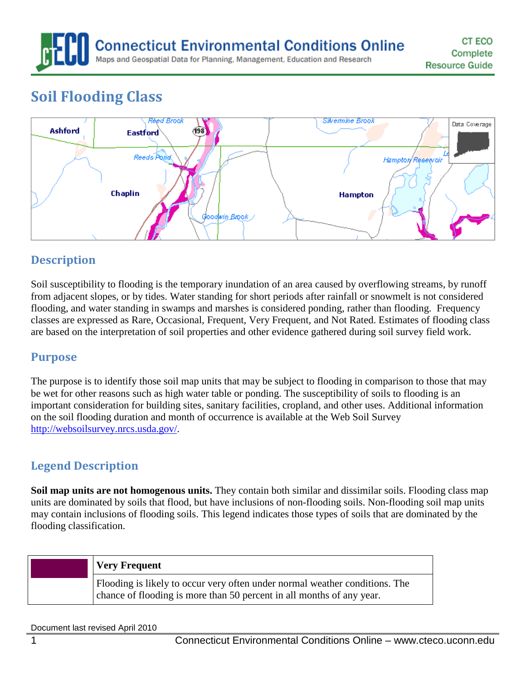**Connecticut Environmental Conditions Online** Maps and Geospatial Data for Planning, Management, Education and Research

# **Soil Flooding Class**



## **Description**

Soil susceptibility to flooding is the temporary inundation of an area caused by overflowing streams, by runoff from adjacent slopes, or by tides. Water standing for short periods after rainfall or snowmelt is not considered flooding, and water standing in swamps and marshes is considered ponding, rather than flooding. Frequency classes are expressed as Rare, Occasional, Frequent, Very Frequent, and Not Rated. Estimates of flooding class are based on the interpretation of soil properties and other evidence gathered during soil survey field work.

#### **Purpose**

The purpose is to identify those soil map units that may be subject to flooding in comparison to those that may be wet for other reasons such as high water table or ponding. The susceptibility of soils to flooding is an important consideration for building sites, sanitary facilities, cropland, and other uses. Additional information on the soil flooding duration and month of occurrence is available at the Web Soil Survey [http://websoilsurvey.nrcs.usda.gov/.](http://websoilsurvey.nrcs.usda.gov/)

## **Legend Description**

**Soil map units are not homogenous units.** They contain both similar and dissimilar soils. Flooding class map units are dominated by soils that flood, but have inclusions of non-flooding soils. Non-flooding soil map units may contain inclusions of flooding soils. This legend indicates those types of soils that are dominated by the flooding classification.

| <b>Very Frequent</b>                                                                                                                                 |
|------------------------------------------------------------------------------------------------------------------------------------------------------|
| Flooding is likely to occur very often under normal weather conditions. The<br>chance of flooding is more than 50 percent in all months of any year. |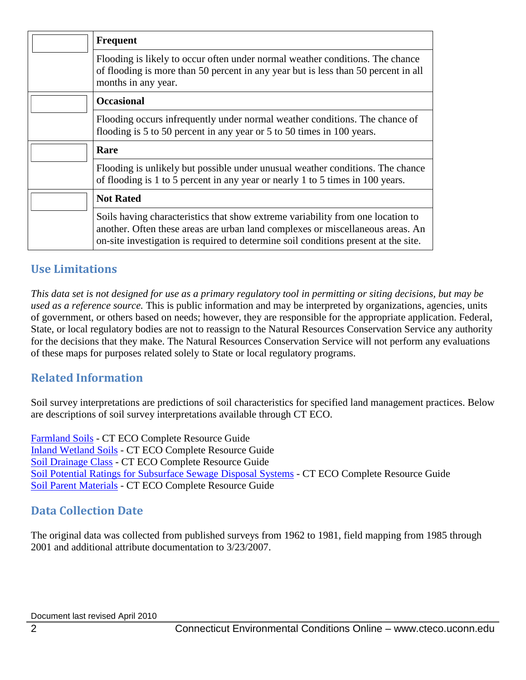|  | <b>Frequent</b>                                                                                                                                                                                                                                          |
|--|----------------------------------------------------------------------------------------------------------------------------------------------------------------------------------------------------------------------------------------------------------|
|  | Flooding is likely to occur often under normal weather conditions. The chance<br>of flooding is more than 50 percent in any year but is less than 50 percent in all<br>months in any year.                                                               |
|  | <b>Occasional</b>                                                                                                                                                                                                                                        |
|  | Flooding occurs infrequently under normal weather conditions. The chance of<br>flooding is 5 to 50 percent in any year or 5 to 50 times in 100 years.                                                                                                    |
|  | Rare                                                                                                                                                                                                                                                     |
|  | Flooding is unlikely but possible under unusual weather conditions. The chance<br>of flooding is 1 to 5 percent in any year or nearly 1 to 5 times in 100 years.                                                                                         |
|  | <b>Not Rated</b>                                                                                                                                                                                                                                         |
|  | Soils having characteristics that show extreme variability from one location to<br>another. Often these areas are urban land complexes or miscellaneous areas. An<br>on-site investigation is required to determine soil conditions present at the site. |

#### **Use Limitations**

*This data set is not designed for use as a primary regulatory tool in permitting or siting decisions, but may be used as a reference source.* This is public information and may be interpreted by organizations, agencies, units of government, or others based on needs; however, they are responsible for the appropriate application. Federal, State, or local regulatory bodies are not to reassign to the Natural Resources Conservation Service any authority for the decisions that they make. The Natural Resources Conservation Service will not perform any evaluations of these maps for purposes related solely to State or local regulatory programs.

#### **Related Information**

Soil survey interpretations are predictions of soil characteristics for specified land management practices. Below are descriptions of soil survey interpretations available through CT ECO.

[Farmland Soils](http://www.cteco.uconn.edu/guides/resource/CT_ECO_Resource_Guide_Soils_Farmland.pdf) - CT ECO Complete Resource Guide [Inland Wetland Soils](http://www.cteco.uconn.edu/guides/resource/CT_ECO_Resource_Guide_Soils_Inland_Wetland.pdf) - CT ECO Complete Resource Guide [Soil Drainage Class](http://www.cteco.uconn.edu/guides/resource/CT_ECO_Resource_Guide_Soils_Drainage.pdf) - CT ECO Complete Resource Guide [Soil Potential Ratings for Subsurface Sewage Disposal Systems](http://www.cteco.uconn.edu/guides/resource/CT_ECO_Resource_Guide_Soils_Potential_SSDS.pdf) - CT ECO Complete Resource Guide [Soil Parent Materials](http://www.cteco.uconn.edu/guides/resource/CT_ECO_Resource_Guide_Soils_Parent_Material.pdf) - CT ECO Complete Resource Guide

#### **Data Collection Date**

The original data was collected from published surveys from 1962 to 1981, field mapping from 1985 through 2001 and additional attribute documentation to 3/23/2007.